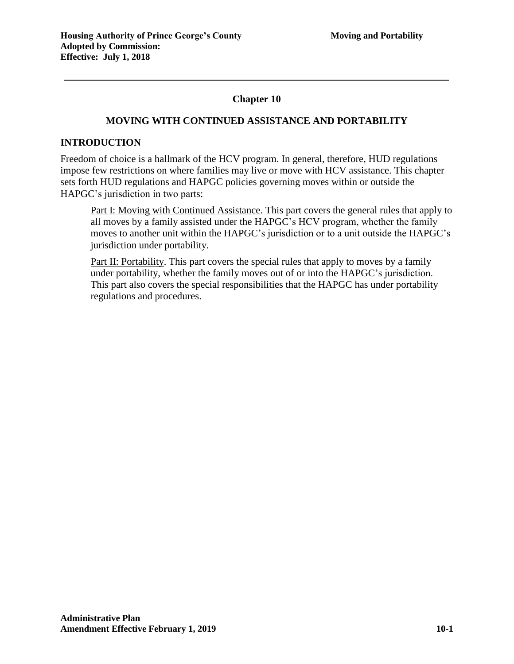# **Chapter 10**

## **MOVING WITH CONTINUED ASSISTANCE AND PORTABILITY**

### **INTRODUCTION**

Freedom of choice is a hallmark of the HCV program. In general, therefore, HUD regulations impose few restrictions on where families may live or move with HCV assistance. This chapter sets forth HUD regulations and HAPGC policies governing moves within or outside the HAPGC's jurisdiction in two parts:

Part I: Moving with Continued Assistance. This part covers the general rules that apply to all moves by a family assisted under the HAPGC's HCV program, whether the family moves to another unit within the HAPGC's jurisdiction or to a unit outside the HAPGC's jurisdiction under portability.

Part II: Portability. This part covers the special rules that apply to moves by a family under portability, whether the family moves out of or into the HAPGC's jurisdiction. This part also covers the special responsibilities that the HAPGC has under portability regulations and procedures.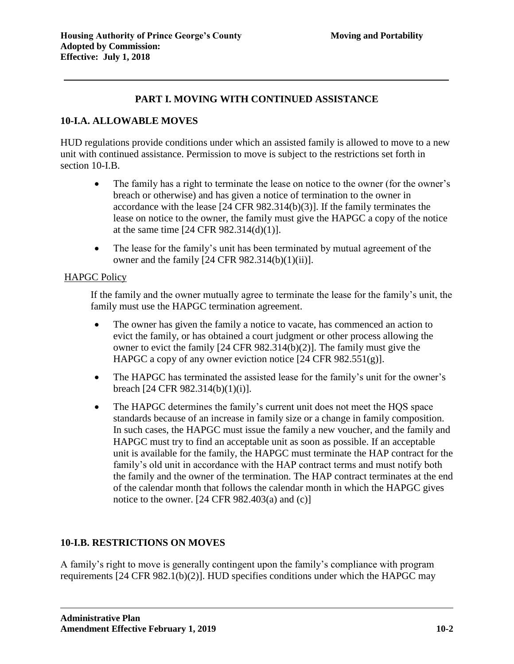# **PART I. MOVING WITH CONTINUED ASSISTANCE**

# **10-I.A. ALLOWABLE MOVES**

HUD regulations provide conditions under which an assisted family is allowed to move to a new unit with continued assistance. Permission to move is subject to the restrictions set forth in section 10-I.B.

- The family has a right to terminate the lease on notice to the owner (for the owner's breach or otherwise) and has given a notice of termination to the owner in accordance with the lease [24 CFR 982.314(b)(3)]. If the family terminates the lease on notice to the owner, the family must give the HAPGC a copy of the notice at the same time [24 CFR 982.314(d)(1)].
- The lease for the family's unit has been terminated by mutual agreement of the owner and the family  $[24 \text{ CFR } 982.314(b)(1)(ii)].$

#### HAPGC Policy

If the family and the owner mutually agree to terminate the lease for the family's unit, the family must use the HAPGC termination agreement.

- The owner has given the family a notice to vacate, has commenced an action to evict the family, or has obtained a court judgment or other process allowing the owner to evict the family [24 CFR 982.314(b)(2)]. The family must give the HAPGC a copy of any owner eviction notice [24 CFR 982.551(g)].
- The HAPGC has terminated the assisted lease for the family's unit for the owner's breach [24 CFR 982.314(b)(1)(i)].
- The HAPGC determines the family's current unit does not meet the HOS space standards because of an increase in family size or a change in family composition. In such cases, the HAPGC must issue the family a new voucher, and the family and HAPGC must try to find an acceptable unit as soon as possible. If an acceptable unit is available for the family, the HAPGC must terminate the HAP contract for the family's old unit in accordance with the HAP contract terms and must notify both the family and the owner of the termination. The HAP contract terminates at the end of the calendar month that follows the calendar month in which the HAPGC gives notice to the owner.  $[24 \text{ CFR } 982.403(a)$  and  $(c)]$

# **10-I.B. RESTRICTIONS ON MOVES**

A family's right to move is generally contingent upon the family's compliance with program requirements [24 CFR 982.1(b)(2)]. HUD specifies conditions under which the HAPGC may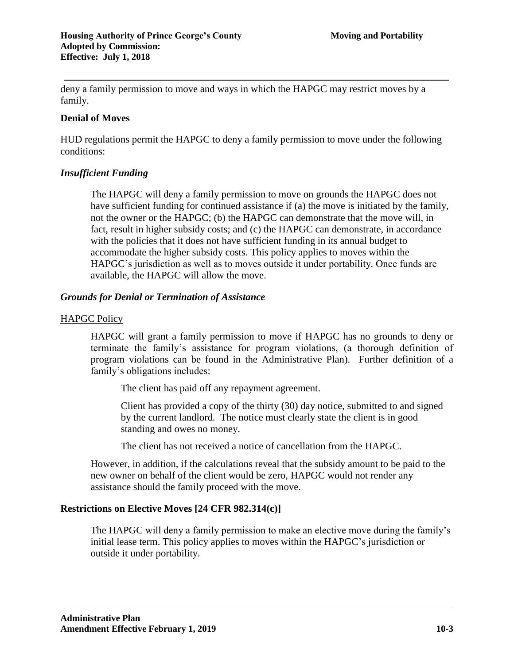deny a family permission to move and ways in which the HAPGC may restrict moves by a family.

### **Denial of Moves**

HUD regulations permit the HAPGC to deny a family permission to move under the following conditions:

## *Insufficient Funding*

The HAPGC will deny a family permission to move on grounds the HAPGC does not have sufficient funding for continued assistance if (a) the move is initiated by the family, not the owner or the HAPGC; (b) the HAPGC can demonstrate that the move will, in fact, result in higher subsidy costs; and (c) the HAPGC can demonstrate, in accordance with the policies that it does not have sufficient funding in its annual budget to accommodate the higher subsidy costs. This policy applies to moves within the HAPGC's jurisdiction as well as to moves outside it under portability. Once funds are available, the HAPGC will allow the move.

## *Grounds for Denial or Termination of Assistance*

## HAPGC Policy

HAPGC will grant a family permission to move if HAPGC has no grounds to deny or terminate the family's assistance for program violations, (a thorough definition of program violations can be found in the Administrative Plan). Further definition of a family's obligations includes:

The client has paid off any repayment agreement.

Client has provided a copy of the thirty (30) day notice, submitted to and signed by the current landlord. The notice must clearly state the client is in good standing and owes no money.

The client has not received a notice of cancellation from the HAPGC.

However, in addition, if the calculations reveal that the subsidy amount to be paid to the new owner on behalf of the client would be zero, HAPGC would not render any assistance should the family proceed with the move.

# **Restrictions on Elective Moves [24 CFR 982.314(c)]**

The HAPGC will deny a family permission to make an elective move during the family's initial lease term. This policy applies to moves within the HAPGC's jurisdiction or outside it under portability.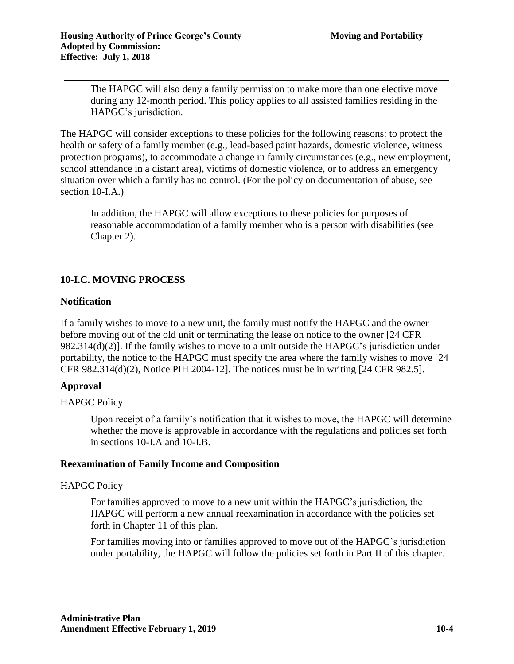The HAPGC will also deny a family permission to make more than one elective move during any 12-month period. This policy applies to all assisted families residing in the HAPGC's jurisdiction.

The HAPGC will consider exceptions to these policies for the following reasons: to protect the health or safety of a family member (e.g., lead-based paint hazards, domestic violence, witness protection programs), to accommodate a change in family circumstances (e.g., new employment, school attendance in a distant area), victims of domestic violence, or to address an emergency situation over which a family has no control. (For the policy on documentation of abuse, see section 10-I.A.)

In addition, the HAPGC will allow exceptions to these policies for purposes of reasonable accommodation of a family member who is a person with disabilities (see Chapter 2).

# **10-I.C. MOVING PROCESS**

## **Notification**

If a family wishes to move to a new unit, the family must notify the HAPGC and the owner before moving out of the old unit or terminating the lease on notice to the owner [24 CFR 982.314(d)(2)]. If the family wishes to move to a unit outside the HAPGC's jurisdiction under portability, the notice to the HAPGC must specify the area where the family wishes to move [24 CFR 982.314(d)(2), Notice PIH 2004-12]. The notices must be in writing [24 CFR 982.5].

# **Approval**

#### HAPGC Policy

Upon receipt of a family's notification that it wishes to move, the HAPGC will determine whether the move is approvable in accordance with the regulations and policies set forth in sections 10-I.A and 10-I.B.

#### **Reexamination of Family Income and Composition**

#### HAPGC Policy

For families approved to move to a new unit within the HAPGC's jurisdiction, the HAPGC will perform a new annual reexamination in accordance with the policies set forth in Chapter 11 of this plan.

For families moving into or families approved to move out of the HAPGC's jurisdiction under portability, the HAPGC will follow the policies set forth in Part II of this chapter.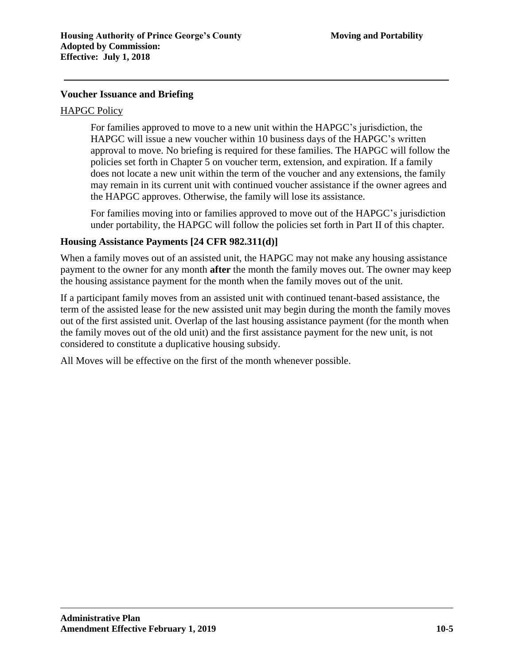## **Voucher Issuance and Briefing**

#### HAPGC Policy

For families approved to move to a new unit within the HAPGC's jurisdiction, the HAPGC will issue a new voucher within 10 business days of the HAPGC's written approval to move. No briefing is required for these families. The HAPGC will follow the policies set forth in Chapter 5 on voucher term, extension, and expiration. If a family does not locate a new unit within the term of the voucher and any extensions, the family may remain in its current unit with continued voucher assistance if the owner agrees and the HAPGC approves. Otherwise, the family will lose its assistance.

For families moving into or families approved to move out of the HAPGC's jurisdiction under portability, the HAPGC will follow the policies set forth in Part II of this chapter.

#### **Housing Assistance Payments [24 CFR 982.311(d)]**

When a family moves out of an assisted unit, the HAPGC may not make any housing assistance payment to the owner for any month **after** the month the family moves out. The owner may keep the housing assistance payment for the month when the family moves out of the unit.

If a participant family moves from an assisted unit with continued tenant-based assistance, the term of the assisted lease for the new assisted unit may begin during the month the family moves out of the first assisted unit. Overlap of the last housing assistance payment (for the month when the family moves out of the old unit) and the first assistance payment for the new unit, is not considered to constitute a duplicative housing subsidy.

All Moves will be effective on the first of the month whenever possible.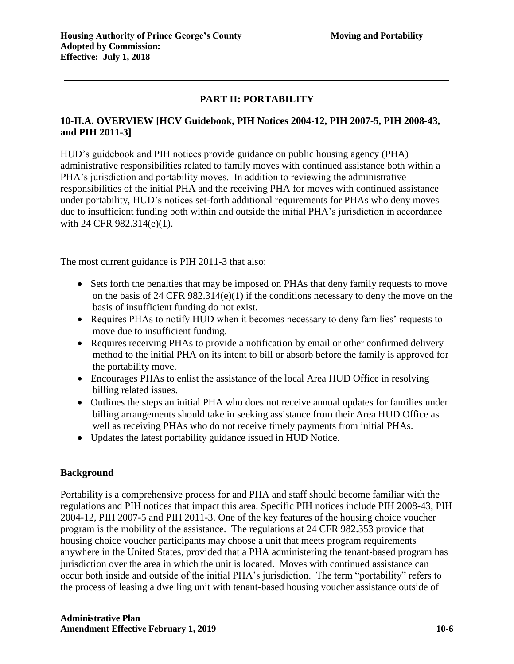# **PART II: PORTABILITY**

# **10-II.A. OVERVIEW [HCV Guidebook, PIH Notices 2004-12, PIH 2007-5, PIH 2008-43, and PIH 2011-3]**

HUD's guidebook and PIH notices provide guidance on public housing agency (PHA) administrative responsibilities related to family moves with continued assistance both within a PHA's jurisdiction and portability moves. In addition to reviewing the administrative responsibilities of the initial PHA and the receiving PHA for moves with continued assistance under portability, HUD's notices set-forth additional requirements for PHAs who deny moves due to insufficient funding both within and outside the initial PHA's jurisdiction in accordance with 24 CFR 982.314(e)(1).

The most current guidance is PIH 2011-3 that also:

- Sets forth the penalties that may be imposed on PHAs that deny family requests to move on the basis of 24 CFR 982.314(e)(1) if the conditions necessary to deny the move on the basis of insufficient funding do not exist.
- Requires PHAs to notify HUD when it becomes necessary to deny families' requests to move due to insufficient funding.
- Requires receiving PHAs to provide a notification by email or other confirmed delivery method to the initial PHA on its intent to bill or absorb before the family is approved for the portability move.
- Encourages PHAs to enlist the assistance of the local Area HUD Office in resolving billing related issues.
- Outlines the steps an initial PHA who does not receive annual updates for families under billing arrangements should take in seeking assistance from their Area HUD Office as well as receiving PHAs who do not receive timely payments from initial PHAs.
- Updates the latest portability guidance issued in HUD Notice.

# **Background**

Portability is a comprehensive process for and PHA and staff should become familiar with the regulations and PIH notices that impact this area. Specific PIH notices include PIH 2008-43, PIH 2004-12, PIH 2007-5 and PIH 2011-3. One of the key features of the housing choice voucher program is the mobility of the assistance. The regulations at 24 CFR 982.353 provide that housing choice voucher participants may choose a unit that meets program requirements anywhere in the United States, provided that a PHA administering the tenant-based program has jurisdiction over the area in which the unit is located. Moves with continued assistance can occur both inside and outside of the initial PHA's jurisdiction. The term "portability" refers to the process of leasing a dwelling unit with tenant-based housing voucher assistance outside of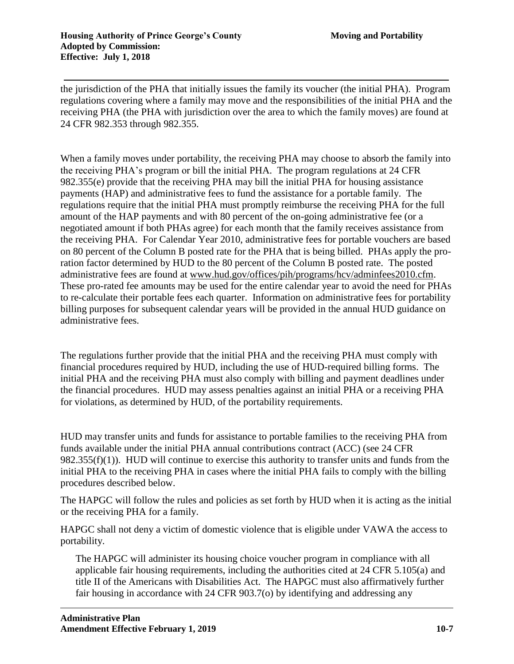the jurisdiction of the PHA that initially issues the family its voucher (the initial PHA). Program regulations covering where a family may move and the responsibilities of the initial PHA and the receiving PHA (the PHA with jurisdiction over the area to which the family moves) are found at 24 CFR 982.353 through 982.355.

When a family moves under portability, the receiving PHA may choose to absorb the family into the receiving PHA's program or bill the initial PHA. The program regulations at 24 CFR 982.355(e) provide that the receiving PHA may bill the initial PHA for housing assistance payments (HAP) and administrative fees to fund the assistance for a portable family. The regulations require that the initial PHA must promptly reimburse the receiving PHA for the full amount of the HAP payments and with 80 percent of the on-going administrative fee (or a negotiated amount if both PHAs agree) for each month that the family receives assistance from the receiving PHA. For Calendar Year 2010, administrative fees for portable vouchers are based on 80 percent of the Column B posted rate for the PHA that is being billed. PHAs apply the proration factor determined by HUD to the 80 percent of the Column B posted rate. The posted administrative fees are found at [www.hud.gov/offices/pih/programs/hcv/adminfees2010.cfm.](http://www.hud.gov/offices/pih/programs/hcv/adminfees2010.cfm) These pro-rated fee amounts may be used for the entire calendar year to avoid the need for PHAs to re-calculate their portable fees each quarter. Information on administrative fees for portability billing purposes for subsequent calendar years will be provided in the annual HUD guidance on administrative fees.

The regulations further provide that the initial PHA and the receiving PHA must comply with financial procedures required by HUD, including the use of HUD-required billing forms. The initial PHA and the receiving PHA must also comply with billing and payment deadlines under the financial procedures. HUD may assess penalties against an initial PHA or a receiving PHA for violations, as determined by HUD, of the portability requirements.

HUD may transfer units and funds for assistance to portable families to the receiving PHA from funds available under the initial PHA annual contributions contract (ACC) (see 24 CFR 982.355(f)(1)). HUD will continue to exercise this authority to transfer units and funds from the initial PHA to the receiving PHA in cases where the initial PHA fails to comply with the billing procedures described below.

The HAPGC will follow the rules and policies as set forth by HUD when it is acting as the initial or the receiving PHA for a family.

HAPGC shall not deny a victim of domestic violence that is eligible under VAWA the access to portability.

The HAPGC will administer its housing choice voucher program in compliance with all applicable fair housing requirements, including the authorities cited at 24 CFR 5.105(a) and title II of the Americans with Disabilities Act. The HAPGC must also affirmatively further fair housing in accordance with 24 CFR 903.7(o) by identifying and addressing any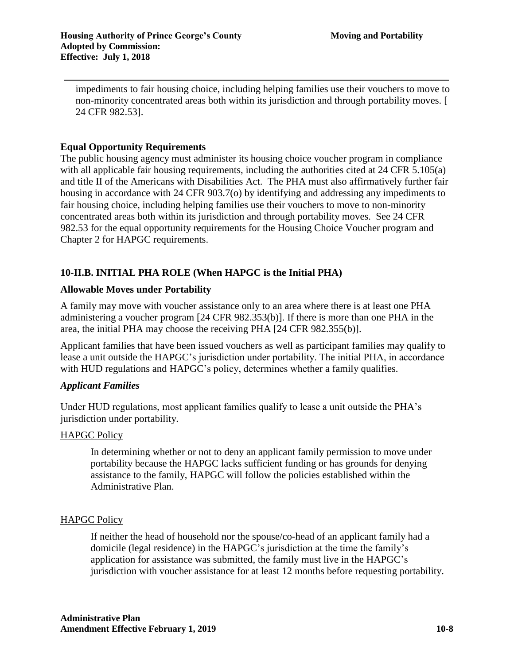impediments to fair housing choice, including helping families use their vouchers to move to non-minority concentrated areas both within its jurisdiction and through portability moves. [ 24 CFR 982.53].

## **Equal Opportunity Requirements**

The public housing agency must administer its housing choice voucher program in compliance with all applicable fair housing requirements, including the authorities cited at 24 CFR 5.105(a) and title II of the Americans with Disabilities Act. The PHA must also affirmatively further fair housing in accordance with 24 CFR 903.7(o) by identifying and addressing any impediments to fair housing choice, including helping families use their vouchers to move to non-minority concentrated areas both within its jurisdiction and through portability moves. See 24 CFR 982.53 for the equal opportunity requirements for the Housing Choice Voucher program and Chapter 2 for HAPGC requirements.

# **10-II.B. INITIAL PHA ROLE (When HAPGC is the Initial PHA)**

## **Allowable Moves under Portability**

A family may move with voucher assistance only to an area where there is at least one PHA administering a voucher program [24 CFR 982.353(b)]. If there is more than one PHA in the area, the initial PHA may choose the receiving PHA [24 CFR 982.355(b)].

Applicant families that have been issued vouchers as well as participant families may qualify to lease a unit outside the HAPGC's jurisdiction under portability. The initial PHA, in accordance with HUD regulations and HAPGC's policy, determines whether a family qualifies.

#### *Applicant Families*

Under HUD regulations, most applicant families qualify to lease a unit outside the PHA's jurisdiction under portability.

#### HAPGC Policy

In determining whether or not to deny an applicant family permission to move under portability because the HAPGC lacks sufficient funding or has grounds for denying assistance to the family, HAPGC will follow the policies established within the Administrative Plan.

# HAPGC Policy

If neither the head of household nor the spouse/co-head of an applicant family had a domicile (legal residence) in the HAPGC's jurisdiction at the time the family's application for assistance was submitted, the family must live in the HAPGC's jurisdiction with voucher assistance for at least 12 months before requesting portability.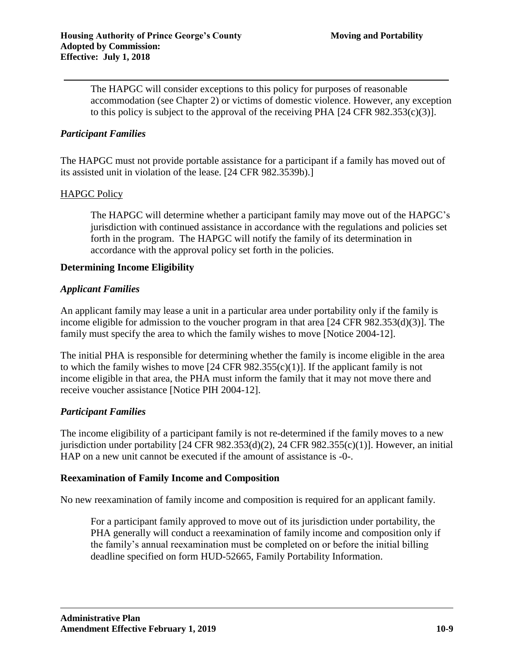The HAPGC will consider exceptions to this policy for purposes of reasonable accommodation (see Chapter 2) or victims of domestic violence. However, any exception to this policy is subject to the approval of the receiving PHA  $[24 \text{ CFR } 982.353(c)(3)]$ .

### *Participant Families*

The HAPGC must not provide portable assistance for a participant if a family has moved out of its assisted unit in violation of the lease. [24 CFR 982.3539b).]

#### HAPGC Policy

The HAPGC will determine whether a participant family may move out of the HAPGC's jurisdiction with continued assistance in accordance with the regulations and policies set forth in the program. The HAPGC will notify the family of its determination in accordance with the approval policy set forth in the policies.

#### **Determining Income Eligibility**

#### *Applicant Families*

An applicant family may lease a unit in a particular area under portability only if the family is income eligible for admission to the voucher program in that area [24 CFR 982.353(d)(3)]. The family must specify the area to which the family wishes to move [Notice 2004-12].

The initial PHA is responsible for determining whether the family is income eligible in the area to which the family wishes to move  $[24 \text{ CFR } 982.355(c)(1)]$ . If the applicant family is not income eligible in that area, the PHA must inform the family that it may not move there and receive voucher assistance [Notice PIH 2004-12].

#### *Participant Families*

The income eligibility of a participant family is not re-determined if the family moves to a new jurisdiction under portability [24 CFR 982.353(d)(2), 24 CFR 982.355(c)(1)]. However, an initial HAP on a new unit cannot be executed if the amount of assistance is -0-.

#### **Reexamination of Family Income and Composition**

No new reexamination of family income and composition is required for an applicant family.

For a participant family approved to move out of its jurisdiction under portability, the PHA generally will conduct a reexamination of family income and composition only if the family's annual reexamination must be completed on or before the initial billing deadline specified on form HUD-52665, Family Portability Information.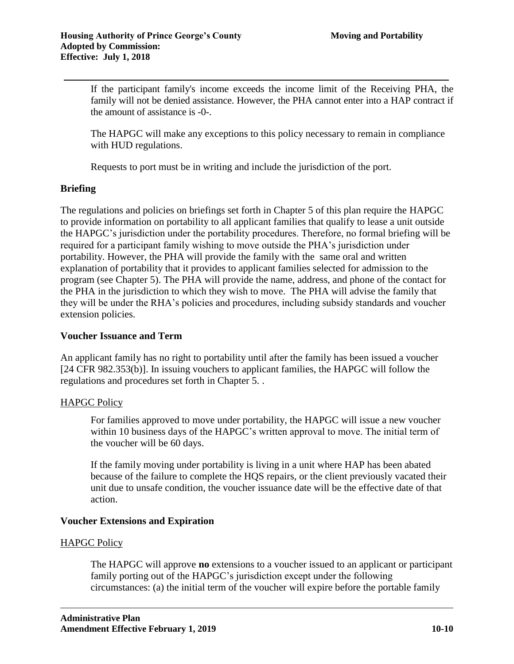If the participant family's income exceeds the income limit of the Receiving PHA, the family will not be denied assistance. However, the PHA cannot enter into a HAP contract if the amount of assistance is -0-.

The HAPGC will make any exceptions to this policy necessary to remain in compliance with HUD regulations.

Requests to port must be in writing and include the jurisdiction of the port.

## **Briefing**

The regulations and policies on briefings set forth in Chapter 5 of this plan require the HAPGC to provide information on portability to all applicant families that qualify to lease a unit outside the HAPGC's jurisdiction under the portability procedures. Therefore, no formal briefing will be required for a participant family wishing to move outside the PHA's jurisdiction under portability. However, the PHA will provide the family with the same oral and written explanation of portability that it provides to applicant families selected for admission to the program (see Chapter 5). The PHA will provide the name, address, and phone of the contact for the PHA in the jurisdiction to which they wish to move. The PHA will advise the family that they will be under the RHA's policies and procedures, including subsidy standards and voucher extension policies.

#### **Voucher Issuance and Term**

An applicant family has no right to portability until after the family has been issued a voucher [24 CFR 982.353(b)]. In issuing vouchers to applicant families, the HAPGC will follow the regulations and procedures set forth in Chapter 5. .

# HAPGC Policy

For families approved to move under portability, the HAPGC will issue a new voucher within 10 business days of the HAPGC's written approval to move. The initial term of the voucher will be 60 days.

If the family moving under portability is living in a unit where HAP has been abated because of the failure to complete the HQS repairs, or the client previously vacated their unit due to unsafe condition, the voucher issuance date will be the effective date of that action.

# **Voucher Extensions and Expiration**

#### HAPGC Policy

The HAPGC will approve **no** extensions to a voucher issued to an applicant or participant family porting out of the HAPGC's jurisdiction except under the following circumstances: (a) the initial term of the voucher will expire before the portable family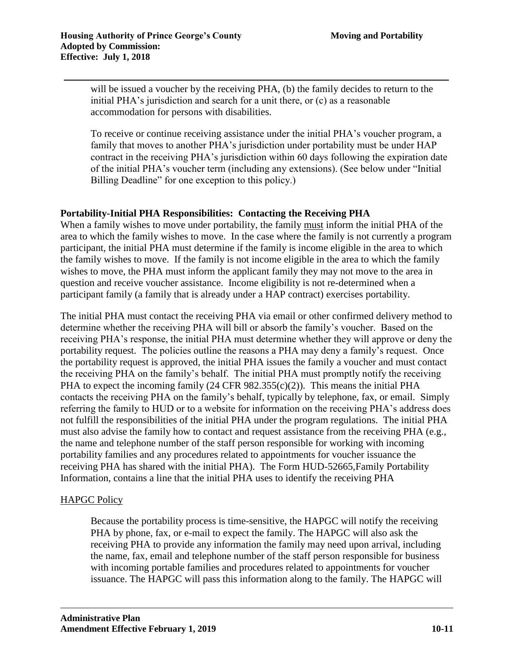will be issued a voucher by the receiving PHA, (b) the family decides to return to the initial PHA's jurisdiction and search for a unit there, or (c) as a reasonable accommodation for persons with disabilities.

To receive or continue receiving assistance under the initial PHA's voucher program, a family that moves to another PHA's jurisdiction under portability must be under HAP contract in the receiving PHA's jurisdiction within 60 days following the expiration date of the initial PHA's voucher term (including any extensions). (See below under "Initial Billing Deadline" for one exception to this policy.)

## **Portability-Initial PHA Responsibilities: Contacting the Receiving PHA**

When a family wishes to move under portability, the family must inform the initial PHA of the area to which the family wishes to move. In the case where the family is not currently a program participant, the initial PHA must determine if the family is income eligible in the area to which the family wishes to move. If the family is not income eligible in the area to which the family wishes to move, the PHA must inform the applicant family they may not move to the area in question and receive voucher assistance. Income eligibility is not re-determined when a participant family (a family that is already under a HAP contract) exercises portability.

The initial PHA must contact the receiving PHA via email or other confirmed delivery method to determine whether the receiving PHA will bill or absorb the family's voucher. Based on the receiving PHA's response, the initial PHA must determine whether they will approve or deny the portability request. The policies outline the reasons a PHA may deny a family's request. Once the portability request is approved, the initial PHA issues the family a voucher and must contact the receiving PHA on the family's behalf. The initial PHA must promptly notify the receiving PHA to expect the incoming family (24 CFR 982.355(c)(2)). This means the initial PHA contacts the receiving PHA on the family's behalf, typically by telephone, fax, or email. Simply referring the family to HUD or to a website for information on the receiving PHA's address does not fulfill the responsibilities of the initial PHA under the program regulations. The initial PHA must also advise the family how to contact and request assistance from the receiving PHA (e.g., the name and telephone number of the staff person responsible for working with incoming portability families and any procedures related to appointments for voucher issuance the receiving PHA has shared with the initial PHA). The Form HUD-52665,Family Portability Information, contains a line that the initial PHA uses to identify the receiving PHA

# HAPGC Policy

Because the portability process is time-sensitive, the HAPGC will notify the receiving PHA by phone, fax, or e-mail to expect the family. The HAPGC will also ask the receiving PHA to provide any information the family may need upon arrival, including the name, fax, email and telephone number of the staff person responsible for business with incoming portable families and procedures related to appointments for voucher issuance. The HAPGC will pass this information along to the family. The HAPGC will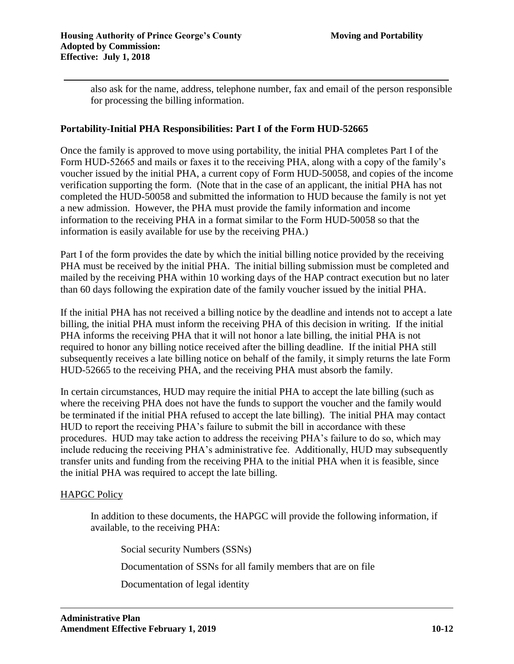also ask for the name, address, telephone number, fax and email of the person responsible for processing the billing information.

## **Portability-Initial PHA Responsibilities: Part I of the Form HUD-52665**

Once the family is approved to move using portability, the initial PHA completes Part I of the Form HUD-52665 and mails or faxes it to the receiving PHA, along with a copy of the family's voucher issued by the initial PHA, a current copy of Form HUD-50058, and copies of the income verification supporting the form. (Note that in the case of an applicant, the initial PHA has not completed the HUD-50058 and submitted the information to HUD because the family is not yet a new admission. However, the PHA must provide the family information and income information to the receiving PHA in a format similar to the Form HUD-50058 so that the information is easily available for use by the receiving PHA.)

Part I of the form provides the date by which the initial billing notice provided by the receiving PHA must be received by the initial PHA.The initial billing submission must be completed and mailed by the receiving PHA within 10 working days of the HAP contract execution but no later than 60 days following the expiration date of the family voucher issued by the initial PHA.

If the initial PHA has not received a billing notice by the deadline and intends not to accept a late billing, the initial PHA must inform the receiving PHA of this decision in writing. If the initial PHA informs the receiving PHA that it will not honor a late billing, the initial PHA is not required to honor any billing notice received after the billing deadline. If the initial PHA still subsequently receives a late billing notice on behalf of the family, it simply returns the late Form HUD-52665 to the receiving PHA, and the receiving PHA must absorb the family.

In certain circumstances, HUD may require the initial PHA to accept the late billing (such as where the receiving PHA does not have the funds to support the voucher and the family would be terminated if the initial PHA refused to accept the late billing). The initial PHA may contact HUD to report the receiving PHA's failure to submit the bill in accordance with these procedures. HUD may take action to address the receiving PHA's failure to do so, which may include reducing the receiving PHA's administrative fee. Additionally, HUD may subsequently transfer units and funding from the receiving PHA to the initial PHA when it is feasible, since the initial PHA was required to accept the late billing.

# HAPGC Policy

In addition to these documents, the HAPGC will provide the following information, if available, to the receiving PHA:

Social security Numbers (SSNs)

Documentation of SSNs for all family members that are on file

Documentation of legal identity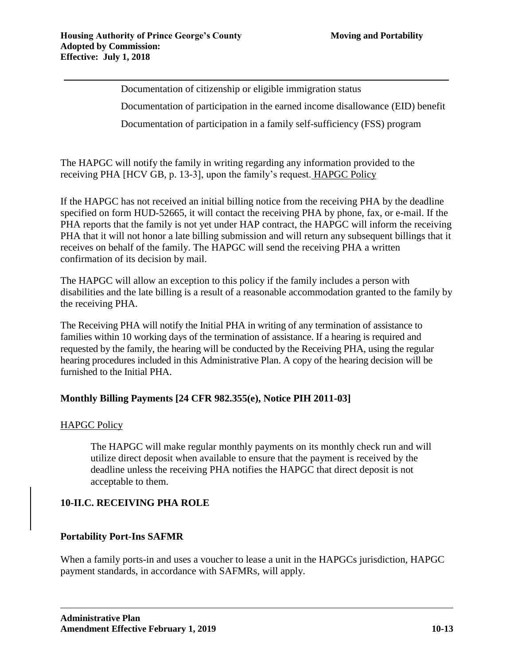Documentation of citizenship or eligible immigration status Documentation of participation in the earned income disallowance (EID) benefit Documentation of participation in a family self-sufficiency (FSS) program

The HAPGC will notify the family in writing regarding any information provided to the receiving PHA [HCV GB, p. 13-3], upon the family's request. HAPGC Policy

If the HAPGC has not received an initial billing notice from the receiving PHA by the deadline specified on form HUD-52665, it will contact the receiving PHA by phone, fax, or e-mail. If the PHA reports that the family is not yet under HAP contract, the HAPGC will inform the receiving PHA that it will not honor a late billing submission and will return any subsequent billings that it receives on behalf of the family. The HAPGC will send the receiving PHA a written confirmation of its decision by mail.

The HAPGC will allow an exception to this policy if the family includes a person with disabilities and the late billing is a result of a reasonable accommodation granted to the family by the receiving PHA.

The Receiving PHA will notify the Initial PHA in writing of any termination of assistance to families within 10 working days of the termination of assistance. If a hearing is required and requested by the family, the hearing will be conducted by the Receiving PHA, using the regular hearing procedures included in this Administrative Plan. A copy of the hearing decision will be furnished to the Initial PHA.

# **Monthly Billing Payments [24 CFR 982.355(e), Notice PIH 2011-03]**

# HAPGC Policy

The HAPGC will make regular monthly payments on its monthly check run and will utilize direct deposit when available to ensure that the payment is received by the deadline unless the receiving PHA notifies the HAPGC that direct deposit is not acceptable to them.

# **10-II.C. RECEIVING PHA ROLE**

# **Portability Port-Ins SAFMR**

When a family ports-in and uses a voucher to lease a unit in the HAPGCs jurisdiction, HAPGC payment standards, in accordance with SAFMRs, will apply.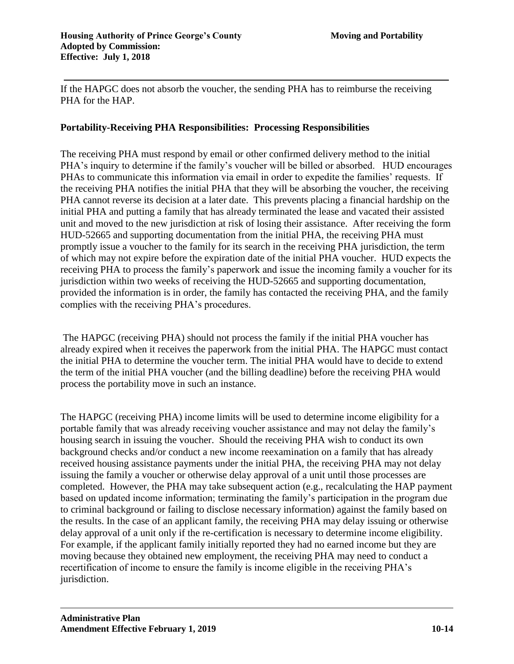If the HAPGC does not absorb the voucher, the sending PHA has to reimburse the receiving PHA for the HAP.

## **Portability-Receiving PHA Responsibilities: Processing Responsibilities**

The receiving PHA must respond by email or other confirmed delivery method to the initial PHA's inquiry to determine if the family's voucher will be billed or absorbed. HUD encourages PHAs to communicate this information via email in order to expedite the families' requests. If the receiving PHA notifies the initial PHA that they will be absorbing the voucher, the receiving PHA cannot reverse its decision at a later date. This prevents placing a financial hardship on the initial PHA and putting a family that has already terminated the lease and vacated their assisted unit and moved to the new jurisdiction at risk of losing their assistance. After receiving the form HUD-52665 and supporting documentation from the initial PHA, the receiving PHA must promptly issue a voucher to the family for its search in the receiving PHA jurisdiction, the term of which may not expire before the expiration date of the initial PHA voucher. HUD expects the receiving PHA to process the family's paperwork and issue the incoming family a voucher for its jurisdiction within two weeks of receiving the HUD-52665 and supporting documentation, provided the information is in order, the family has contacted the receiving PHA, and the family complies with the receiving PHA's procedures.

The HAPGC (receiving PHA) should not process the family if the initial PHA voucher has already expired when it receives the paperwork from the initial PHA. The HAPGC must contact the initial PHA to determine the voucher term. The initial PHA would have to decide to extend the term of the initial PHA voucher (and the billing deadline) before the receiving PHA would process the portability move in such an instance.

The HAPGC (receiving PHA) income limits will be used to determine income eligibility for a portable family that was already receiving voucher assistance and may not delay the family's housing search in issuing the voucher. Should the receiving PHA wish to conduct its own background checks and/or conduct a new income reexamination on a family that has already received housing assistance payments under the initial PHA, the receiving PHA may not delay issuing the family a voucher or otherwise delay approval of a unit until those processes are completed. However, the PHA may take subsequent action (e.g., recalculating the HAP payment based on updated income information; terminating the family's participation in the program due to criminal background or failing to disclose necessary information) against the family based on the results. In the case of an applicant family, the receiving PHA may delay issuing or otherwise delay approval of a unit only if the re-certification is necessary to determine income eligibility. For example, if the applicant family initially reported they had no earned income but they are moving because they obtained new employment, the receiving PHA may need to conduct a recertification of income to ensure the family is income eligible in the receiving PHA's jurisdiction.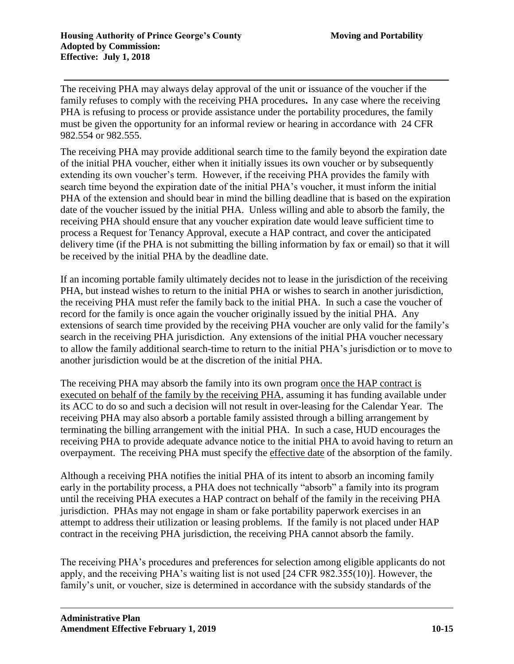The receiving PHA may always delay approval of the unit or issuance of the voucher if the family refuses to comply with the receiving PHA procedures**.** In any case where the receiving PHA is refusing to process or provide assistance under the portability procedures, the family must be given the opportunity for an informal review or hearing in accordance with 24 CFR 982.554 or 982.555.

The receiving PHA may provide additional search time to the family beyond the expiration date of the initial PHA voucher, either when it initially issues its own voucher or by subsequently extending its own voucher's term. However, if the receiving PHA provides the family with search time beyond the expiration date of the initial PHA's voucher, it must inform the initial PHA of the extension and should bear in mind the billing deadline that is based on the expiration date of the voucher issued by the initial PHA. Unless willing and able to absorb the family, the receiving PHA should ensure that any voucher expiration date would leave sufficient time to process a Request for Tenancy Approval, execute a HAP contract, and cover the anticipated delivery time (if the PHA is not submitting the billing information by fax or email) so that it will be received by the initial PHA by the deadline date.

If an incoming portable family ultimately decides not to lease in the jurisdiction of the receiving PHA, but instead wishes to return to the initial PHA or wishes to search in another jurisdiction, the receiving PHA must refer the family back to the initial PHA. In such a case the voucher of record for the family is once again the voucher originally issued by the initial PHA. Any extensions of search time provided by the receiving PHA voucher are only valid for the family's search in the receiving PHA jurisdiction. Any extensions of the initial PHA voucher necessary to allow the family additional search-time to return to the initial PHA's jurisdiction or to move to another jurisdiction would be at the discretion of the initial PHA.

The receiving PHA may absorb the family into its own program once the HAP contract is executed on behalf of the family by the receiving PHA, assuming it has funding available under its ACC to do so and such a decision will not result in over-leasing for the Calendar Year. The receiving PHA may also absorb a portable family assisted through a billing arrangement by terminating the billing arrangement with the initial PHA. In such a case, HUD encourages the receiving PHA to provide adequate advance notice to the initial PHA to avoid having to return an overpayment. The receiving PHA must specify the effective date of the absorption of the family.

Although a receiving PHA notifies the initial PHA of its intent to absorb an incoming family early in the portability process, a PHA does not technically "absorb" a family into its program until the receiving PHA executes a HAP contract on behalf of the family in the receiving PHA jurisdiction. PHAs may not engage in sham or fake portability paperwork exercises in an attempt to address their utilization or leasing problems. If the family is not placed under HAP contract in the receiving PHA jurisdiction, the receiving PHA cannot absorb the family.

The receiving PHA's procedures and preferences for selection among eligible applicants do not apply, and the receiving PHA's waiting list is not used [24 CFR 982.355(10)]. However, the family's unit, or voucher, size is determined in accordance with the subsidy standards of the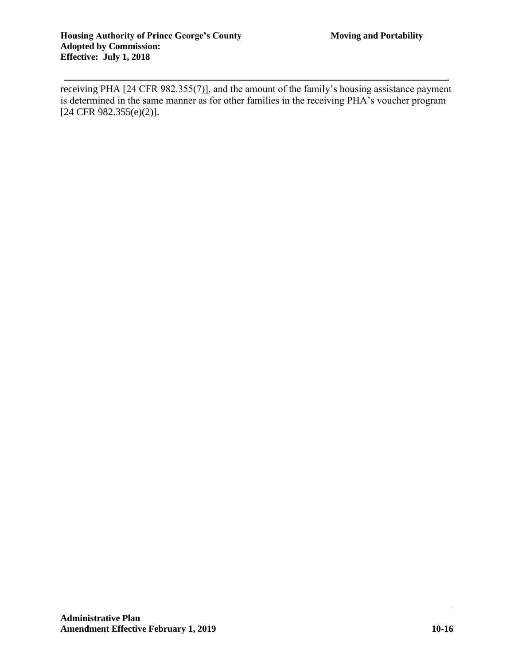receiving PHA [24 CFR 982.355(7)], and the amount of the family's housing assistance payment is determined in the same manner as for other families in the receiving PHA's voucher program [24 CFR 982.355(e)(2)].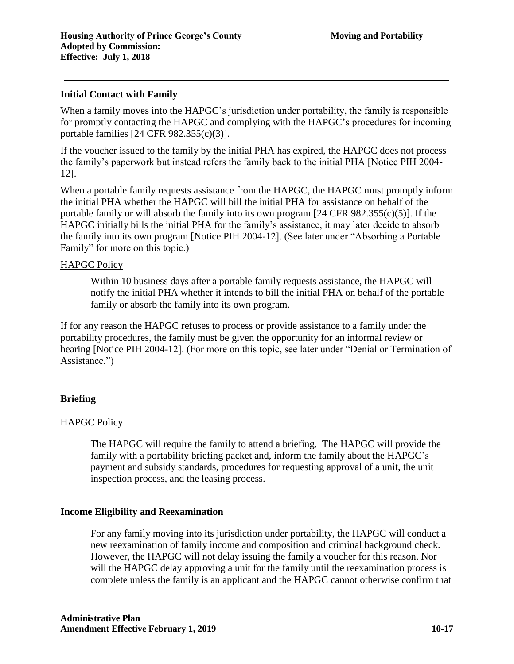#### **Initial Contact with Family**

When a family moves into the HAPGC's jurisdiction under portability, the family is responsible for promptly contacting the HAPGC and complying with the HAPGC's procedures for incoming portable families [24 CFR 982.355(c)(3)].

If the voucher issued to the family by the initial PHA has expired, the HAPGC does not process the family's paperwork but instead refers the family back to the initial PHA [Notice PIH 2004- 12].

When a portable family requests assistance from the HAPGC, the HAPGC must promptly inform the initial PHA whether the HAPGC will bill the initial PHA for assistance on behalf of the portable family or will absorb the family into its own program [24 CFR 982.355(c)(5)]. If the HAPGC initially bills the initial PHA for the family's assistance, it may later decide to absorb the family into its own program [Notice PIH 2004-12]. (See later under "Absorbing a Portable Family" for more on this topic.)

#### HAPGC Policy

Within 10 business days after a portable family requests assistance, the HAPGC will notify the initial PHA whether it intends to bill the initial PHA on behalf of the portable family or absorb the family into its own program.

If for any reason the HAPGC refuses to process or provide assistance to a family under the portability procedures, the family must be given the opportunity for an informal review or hearing [Notice PIH 2004-12]. (For more on this topic, see later under "Denial or Termination of Assistance.")

# **Briefing**

#### HAPGC Policy

The HAPGC will require the family to attend a briefing. The HAPGC will provide the family with a portability briefing packet and, inform the family about the HAPGC's payment and subsidy standards, procedures for requesting approval of a unit, the unit inspection process, and the leasing process.

#### **Income Eligibility and Reexamination**

For any family moving into its jurisdiction under portability, the HAPGC will conduct a new reexamination of family income and composition and criminal background check. However, the HAPGC will not delay issuing the family a voucher for this reason. Nor will the HAPGC delay approving a unit for the family until the reexamination process is complete unless the family is an applicant and the HAPGC cannot otherwise confirm that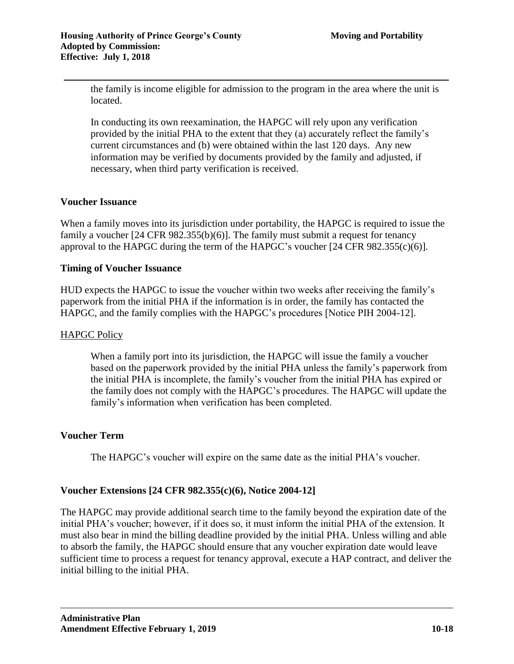the family is income eligible for admission to the program in the area where the unit is located.

In conducting its own reexamination, the HAPGC will rely upon any verification provided by the initial PHA to the extent that they (a) accurately reflect the family's current circumstances and (b) were obtained within the last 120 days. Any new information may be verified by documents provided by the family and adjusted, if necessary, when third party verification is received.

## **Voucher Issuance**

When a family moves into its jurisdiction under portability, the HAPGC is required to issue the family a voucher [24 CFR 982.355(b)(6)]. The family must submit a request for tenancy approval to the HAPGC during the term of the HAPGC's voucher [24 CFR 982.355(c)(6)].

## **Timing of Voucher Issuance**

HUD expects the HAPGC to issue the voucher within two weeks after receiving the family's paperwork from the initial PHA if the information is in order, the family has contacted the HAPGC, and the family complies with the HAPGC's procedures [Notice PIH 2004-12].

#### HAPGC Policy

When a family port into its jurisdiction, the HAPGC will issue the family a voucher based on the paperwork provided by the initial PHA unless the family's paperwork from the initial PHA is incomplete, the family's voucher from the initial PHA has expired or the family does not comply with the HAPGC's procedures. The HAPGC will update the family's information when verification has been completed.

#### **Voucher Term**

The HAPGC's voucher will expire on the same date as the initial PHA's voucher.

# **Voucher Extensions [24 CFR 982.355(c)(6), Notice 2004-12]**

The HAPGC may provide additional search time to the family beyond the expiration date of the initial PHA's voucher; however, if it does so, it must inform the initial PHA of the extension. It must also bear in mind the billing deadline provided by the initial PHA. Unless willing and able to absorb the family, the HAPGC should ensure that any voucher expiration date would leave sufficient time to process a request for tenancy approval, execute a HAP contract, and deliver the initial billing to the initial PHA.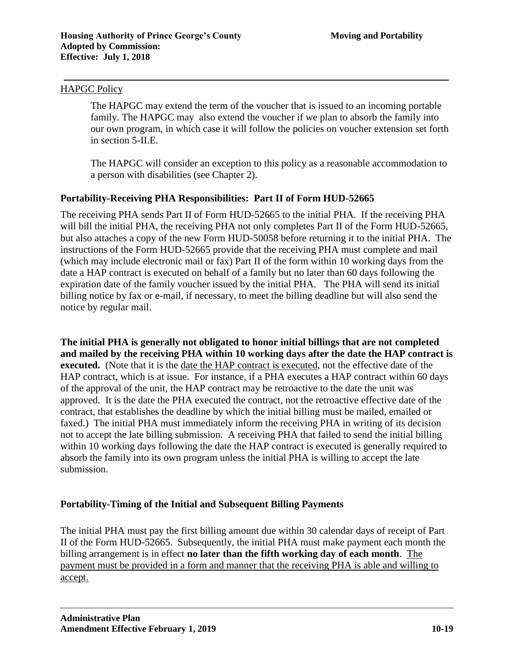#### HAPGC Policy

The HAPGC may extend the term of the voucher that is issued to an incoming portable family. The HAPGC may also extend the voucher if we plan to absorb the family into our own program, in which case it will follow the policies on voucher extension set forth in section 5-II.E.

The HAPGC will consider an exception to this policy as a reasonable accommodation to a person with disabilities (see Chapter 2).

## **Portability-Receiving PHA Responsibilities: Part II of Form HUD-52665**

The receiving PHA sends Part II of Form HUD-52665 to the initial PHA. If the receiving PHA will bill the initial PHA, the receiving PHA not only completes Part II of the Form HUD-52665, but also attaches a copy of the new Form HUD-50058 before returning it to the initial PHA. The instructions of the Form HUD-52665 provide that the receiving PHA must complete and mail (which may include electronic mail or fax) Part II of the form within 10 working days from the date a HAP contract is executed on behalf of a family but no later than 60 days following the expiration date of the family voucher issued by the initial PHA. The PHA will send its initial billing notice by fax or e-mail, if necessary, to meet the billing deadline but will also send the notice by regular mail.

**The initial PHA is generally not obligated to honor initial billings that are not completed and mailed by the receiving PHA within 10 working days after the date the HAP contract is executed.** (Note that it is the date the HAP contract is executed, not the effective date of the HAP contract, which is at issue. For instance, if a PHA executes a HAP contract within 60 days of the approval of the unit, the HAP contract may be retroactive to the date the unit was approved. It is the date the PHA executed the contract, not the retroactive effective date of the contract, that establishes the deadline by which the initial billing must be mailed, emailed or faxed.) The initial PHA must immediately inform the receiving PHA in writing of its decision not to accept the late billing submission. A receiving PHA that failed to send the initial billing within 10 working days following the date the HAP contract is executed is generally required to absorb the family into its own program unless the initial PHA is willing to accept the late submission.

#### **Portability-Timing of the Initial and Subsequent Billing Payments**

The initial PHA must pay the first billing amount due within 30 calendar days of receipt of Part II of the Form HUD-52665. Subsequently, the initial PHA must make payment each month the billing arrangement is in effect **no later than the fifth working day of each month**. The payment must be provided in a form and manner that the receiving PHA is able and willing to accept.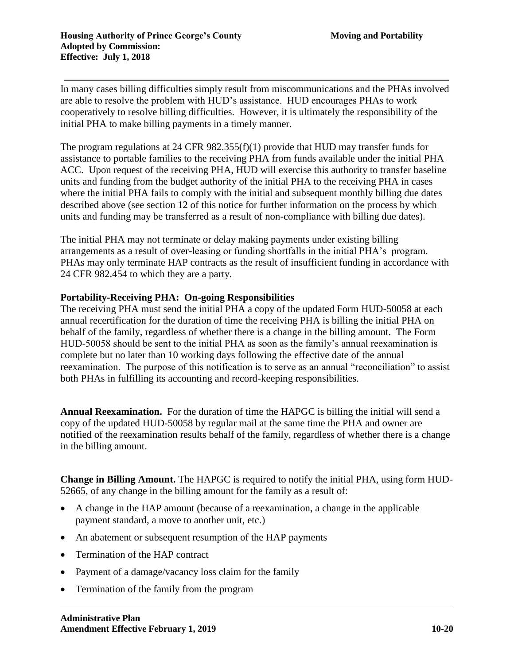In many cases billing difficulties simply result from miscommunications and the PHAs involved are able to resolve the problem with HUD's assistance. HUD encourages PHAs to work cooperatively to resolve billing difficulties. However, it is ultimately the responsibility of the initial PHA to make billing payments in a timely manner.

The program regulations at 24 CFR 982.355(f)(1) provide that HUD may transfer funds for assistance to portable families to the receiving PHA from funds available under the initial PHA ACC. Upon request of the receiving PHA, HUD will exercise this authority to transfer baseline units and funding from the budget authority of the initial PHA to the receiving PHA in cases where the initial PHA fails to comply with the initial and subsequent monthly billing due dates described above (see section 12 of this notice for further information on the process by which units and funding may be transferred as a result of non-compliance with billing due dates).

The initial PHA may not terminate or delay making payments under existing billing arrangements as a result of over-leasing or funding shortfalls in the initial PHA's program. PHAs may only terminate HAP contracts as the result of insufficient funding in accordance with 24 CFR 982.454 to which they are a party.

## **Portability-Receiving PHA: On-going Responsibilities**

The receiving PHA must send the initial PHA a copy of the updated Form HUD-50058 at each annual recertification for the duration of time the receiving PHA is billing the initial PHA on behalf of the family, regardless of whether there is a change in the billing amount. The Form HUD-50058 should be sent to the initial PHA as soon as the family's annual reexamination is complete but no later than 10 working days following the effective date of the annual reexamination. The purpose of this notification is to serve as an annual "reconciliation" to assist both PHAs in fulfilling its accounting and record-keeping responsibilities.

**Annual Reexamination.** For the duration of time the HAPGC is billing the initial will send a copy of the updated HUD-50058 by regular mail at the same time the PHA and owner are notified of the reexamination results behalf of the family, regardless of whether there is a change in the billing amount.

**Change in Billing Amount.** The HAPGC is required to notify the initial PHA, using form HUD-52665, of any change in the billing amount for the family as a result of:

- A change in the HAP amount (because of a reexamination, a change in the applicable payment standard, a move to another unit, etc.)
- An abatement or subsequent resumption of the HAP payments
- Termination of the HAP contract
- Payment of a damage/vacancy loss claim for the family
- Termination of the family from the program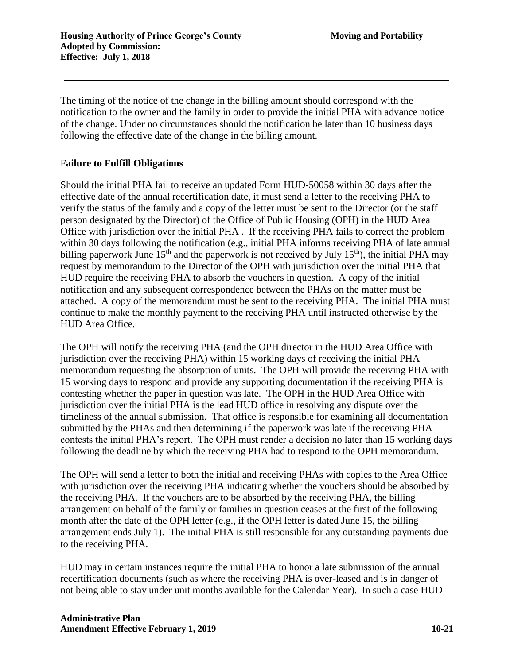The timing of the notice of the change in the billing amount should correspond with the notification to the owner and the family in order to provide the initial PHA with advance notice of the change. Under no circumstances should the notification be later than 10 business days following the effective date of the change in the billing amount.

# F**ailure to Fulfill Obligations**

Should the initial PHA fail to receive an updated Form HUD-50058 within 30 days after the effective date of the annual recertification date, it must send a letter to the receiving PHA to verify the status of the family and a copy of the letter must be sent to the Director (or the staff person designated by the Director) of the Office of Public Housing (OPH) in the HUD Area Office with jurisdiction over the initial PHA .If the receiving PHA fails to correct the problem within 30 days following the notification (e.g., initial PHA informs receiving PHA of late annual billing paperwork June  $15<sup>th</sup>$  and the paperwork is not received by July  $15<sup>th</sup>$ ), the initial PHA may request by memorandum to the Director of the OPH with jurisdiction over the initial PHA that HUD require the receiving PHA to absorb the vouchers in question. A copy of the initial notification and any subsequent correspondence between the PHAs on the matter must be attached. A copy of the memorandum must be sent to the receiving PHA. The initial PHA must continue to make the monthly payment to the receiving PHA until instructed otherwise by the HUD Area Office.

The OPH will notify the receiving PHA (and the OPH director in the HUD Area Office with jurisdiction over the receiving PHA) within 15 working days of receiving the initial PHA memorandum requesting the absorption of units. The OPH will provide the receiving PHA with 15 working days to respond and provide any supporting documentation if the receiving PHA is contesting whether the paper in question was late. The OPH in the HUD Area Office with jurisdiction over the initial PHA is the lead HUD office in resolving any dispute over the timeliness of the annual submission. That office is responsible for examining all documentation submitted by the PHAs and then determining if the paperwork was late if the receiving PHA contests the initial PHA's report. The OPH must render a decision no later than 15 working days following the deadline by which the receiving PHA had to respond to the OPH memorandum.

The OPH will send a letter to both the initial and receiving PHAs with copies to the Area Office with jurisdiction over the receiving PHA indicating whether the vouchers should be absorbed by the receiving PHA. If the vouchers are to be absorbed by the receiving PHA, the billing arrangement on behalf of the family or families in question ceases at the first of the following month after the date of the OPH letter (e.g., if the OPH letter is dated June 15, the billing arrangement ends July 1). The initial PHA is still responsible for any outstanding payments due to the receiving PHA.

HUD may in certain instances require the initial PHA to honor a late submission of the annual recertification documents (such as where the receiving PHA is over-leased and is in danger of not being able to stay under unit months available for the Calendar Year). In such a case HUD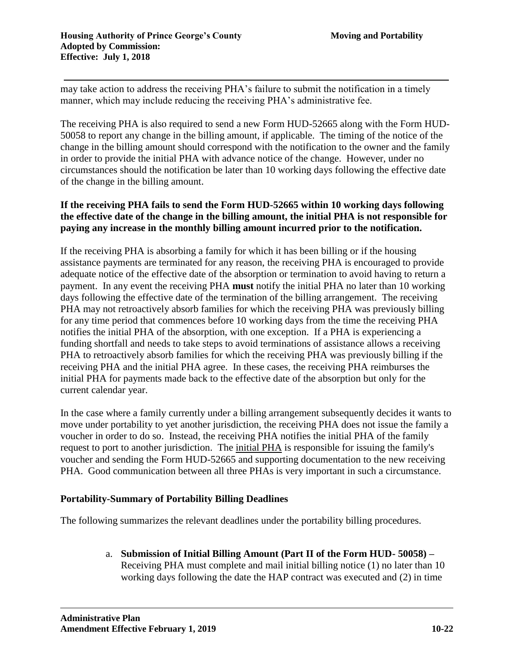may take action to address the receiving PHA's failure to submit the notification in a timely manner, which may include reducing the receiving PHA's administrative fee.

The receiving PHA is also required to send a new Form HUD-52665 along with the Form HUD-50058 to report any change in the billing amount, if applicable. The timing of the notice of the change in the billing amount should correspond with the notification to the owner and the family in order to provide the initial PHA with advance notice of the change. However, under no circumstances should the notification be later than 10 working days following the effective date of the change in the billing amount.

# **If the receiving PHA fails to send the Form HUD-52665 within 10 working days following the effective date of the change in the billing amount, the initial PHA is not responsible for paying any increase in the monthly billing amount incurred prior to the notification.**

If the receiving PHA is absorbing a family for which it has been billing or if the housing assistance payments are terminated for any reason, the receiving PHA is encouraged to provide adequate notice of the effective date of the absorption or termination to avoid having to return a payment. In any event the receiving PHA **must** notify the initial PHA no later than 10 working days following the effective date of the termination of the billing arrangement. The receiving PHA may not retroactively absorb families for which the receiving PHA was previously billing for any time period that commences before 10 working days from the time the receiving PHA notifies the initial PHA of the absorption, with one exception. If a PHA is experiencing a funding shortfall and needs to take steps to avoid terminations of assistance allows a receiving PHA to retroactively absorb families for which the receiving PHA was previously billing if the receiving PHA and the initial PHA agree. In these cases, the receiving PHA reimburses the initial PHA for payments made back to the effective date of the absorption but only for the current calendar year.

In the case where a family currently under a billing arrangement subsequently decides it wants to move under portability to yet another jurisdiction, the receiving PHA does not issue the family a voucher in order to do so. Instead, the receiving PHA notifies the initial PHA of the family request to port to another jurisdiction. The initial PHA is responsible for issuing the family's voucher and sending the Form HUD-52665 and supporting documentation to the new receiving PHA. Good communication between all three PHAs is very important in such a circumstance.

# **Portability-Summary of Portability Billing Deadlines**

The following summarizes the relevant deadlines under the portability billing procedures.

a. **Submission of Initial Billing Amount (Part II of the Form HUD- 50058) –** Receiving PHA must complete and mail initial billing notice (1) no later than 10 working days following the date the HAP contract was executed and (2) in time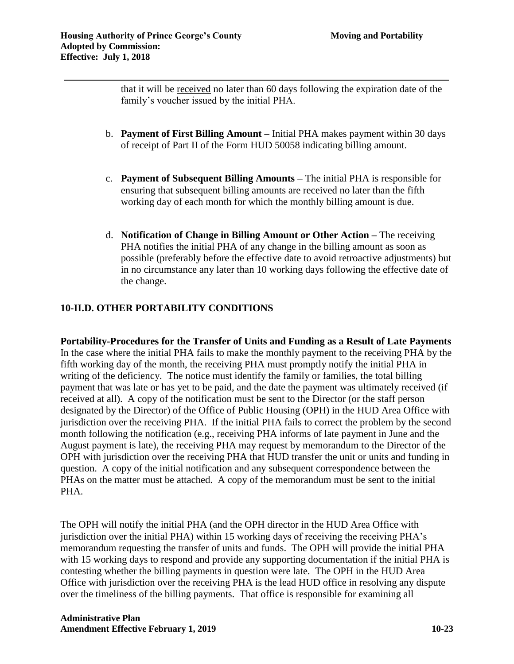that it will be received no later than 60 days following the expiration date of the family's voucher issued by the initial PHA.

- b. **Payment of First Billing Amount –** Initial PHA makes payment within 30 days of receipt of Part II of the Form HUD 50058 indicating billing amount.
- c. **Payment of Subsequent Billing Amounts –** The initial PHA is responsible for ensuring that subsequent billing amounts are received no later than the fifth working day of each month for which the monthly billing amount is due.
- d. **Notification of Change in Billing Amount or Other Action –** The receiving PHA notifies the initial PHA of any change in the billing amount as soon as possible (preferably before the effective date to avoid retroactive adjustments) but in no circumstance any later than 10 working days following the effective date of the change.

# **10-II.D. OTHER PORTABILITY CONDITIONS**

**Portability-Procedures for the Transfer of Units and Funding as a Result of Late Payments**  In the case where the initial PHA fails to make the monthly payment to the receiving PHA by the fifth working day of the month, the receiving PHA must promptly notify the initial PHA in writing of the deficiency. The notice must identify the family or families, the total billing payment that was late or has yet to be paid, and the date the payment was ultimately received (if received at all). A copy of the notification must be sent to the Director (or the staff person designated by the Director) of the Office of Public Housing (OPH) in the HUD Area Office with jurisdiction over the receiving PHA. If the initial PHA fails to correct the problem by the second month following the notification (e.g., receiving PHA informs of late payment in June and the August payment is late), the receiving PHA may request by memorandum to the Director of the OPH with jurisdiction over the receiving PHA that HUD transfer the unit or units and funding in question. A copy of the initial notification and any subsequent correspondence between the PHAs on the matter must be attached. A copy of the memorandum must be sent to the initial PHA.

The OPH will notify the initial PHA (and the OPH director in the HUD Area Office with jurisdiction over the initial PHA) within 15 working days of receiving the receiving PHA's memorandum requesting the transfer of units and funds. The OPH will provide the initial PHA with 15 working days to respond and provide any supporting documentation if the initial PHA is contesting whether the billing payments in question were late. The OPH in the HUD Area Office with jurisdiction over the receiving PHA is the lead HUD office in resolving any dispute over the timeliness of the billing payments. That office is responsible for examining all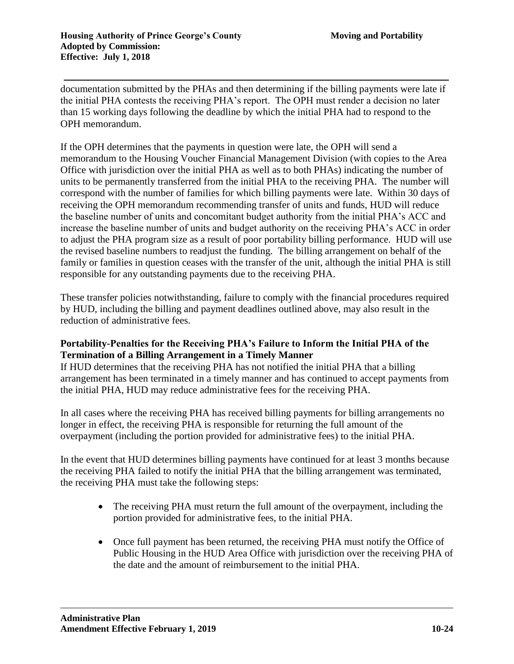documentation submitted by the PHAs and then determining if the billing payments were late if the initial PHA contests the receiving PHA's report. The OPH must render a decision no later than 15 working days following the deadline by which the initial PHA had to respond to the OPH memorandum.

If the OPH determines that the payments in question were late, the OPH will send a memorandum to the Housing Voucher Financial Management Division (with copies to the Area Office with jurisdiction over the initial PHA as well as to both PHAs) indicating the number of units to be permanently transferred from the initial PHA to the receiving PHA. The number will correspond with the number of families for which billing payments were late. Within 30 days of receiving the OPH memorandum recommending transfer of units and funds, HUD will reduce the baseline number of units and concomitant budget authority from the initial PHA's ACC and increase the baseline number of units and budget authority on the receiving PHA's ACC in order to adjust the PHA program size as a result of poor portability billing performance. HUD will use the revised baseline numbers to readjust the funding. The billing arrangement on behalf of the family or families in question ceases with the transfer of the unit, although the initial PHA is still responsible for any outstanding payments due to the receiving PHA.

These transfer policies notwithstanding, failure to comply with the financial procedures required by HUD, including the billing and payment deadlines outlined above, may also result in the reduction of administrative fees.

## **Portability-Penalties for the Receiving PHA's Failure to Inform the Initial PHA of the Termination of a Billing Arrangement in a Timely Manner**

If HUD determines that the receiving PHA has not notified the initial PHA that a billing arrangement has been terminated in a timely manner and has continued to accept payments from the initial PHA, HUD may reduce administrative fees for the receiving PHA.

In all cases where the receiving PHA has received billing payments for billing arrangements no longer in effect, the receiving PHA is responsible for returning the full amount of the overpayment (including the portion provided for administrative fees) to the initial PHA.

In the event that HUD determines billing payments have continued for at least 3 months because the receiving PHA failed to notify the initial PHA that the billing arrangement was terminated, the receiving PHA must take the following steps:

- The receiving PHA must return the full amount of the overpayment, including the portion provided for administrative fees, to the initial PHA.
- Once full payment has been returned, the receiving PHA must notify the Office of Public Housing in the HUD Area Office with jurisdiction over the receiving PHA of the date and the amount of reimbursement to the initial PHA.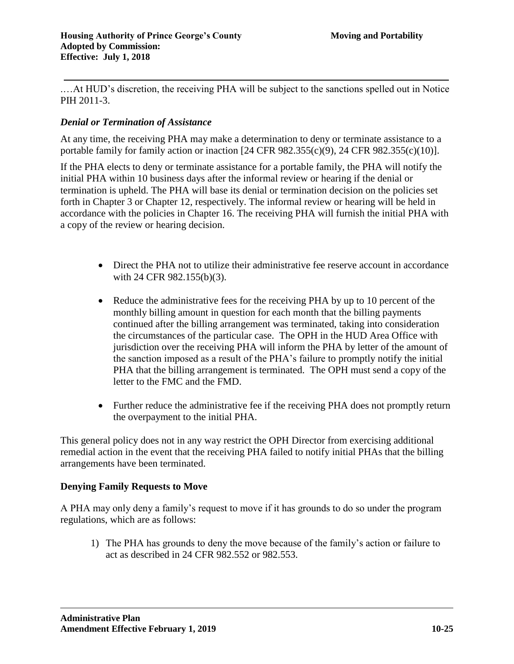.…At HUD's discretion, the receiving PHA will be subject to the sanctions spelled out in Notice PIH 2011-3.

## *Denial or Termination of Assistance*

At any time, the receiving PHA may make a determination to deny or terminate assistance to a portable family for family action or inaction [24 CFR 982.355(c)(9), 24 CFR 982.355(c)(10)].

If the PHA elects to deny or terminate assistance for a portable family, the PHA will notify the initial PHA within 10 business days after the informal review or hearing if the denial or termination is upheld. The PHA will base its denial or termination decision on the policies set forth in Chapter 3 or Chapter 12, respectively. The informal review or hearing will be held in accordance with the policies in Chapter 16. The receiving PHA will furnish the initial PHA with a copy of the review or hearing decision.

- Direct the PHA not to utilize their administrative fee reserve account in accordance with 24 CFR 982.155(b)(3).
- Reduce the administrative fees for the receiving PHA by up to 10 percent of the monthly billing amount in question for each month that the billing payments continued after the billing arrangement was terminated, taking into consideration the circumstances of the particular case. The OPH in the HUD Area Office with jurisdiction over the receiving PHA will inform the PHA by letter of the amount of the sanction imposed as a result of the PHA's failure to promptly notify the initial PHA that the billing arrangement is terminated. The OPH must send a copy of the letter to the FMC and the FMD.
- Further reduce the administrative fee if the receiving PHA does not promptly return the overpayment to the initial PHA.

This general policy does not in any way restrict the OPH Director from exercising additional remedial action in the event that the receiving PHA failed to notify initial PHAs that the billing arrangements have been terminated.

#### **Denying Family Requests to Move**

A PHA may only deny a family's request to move if it has grounds to do so under the program regulations, which are as follows:

1) The PHA has grounds to deny the move because of the family's action or failure to act as described in 24 CFR 982.552 or 982.553.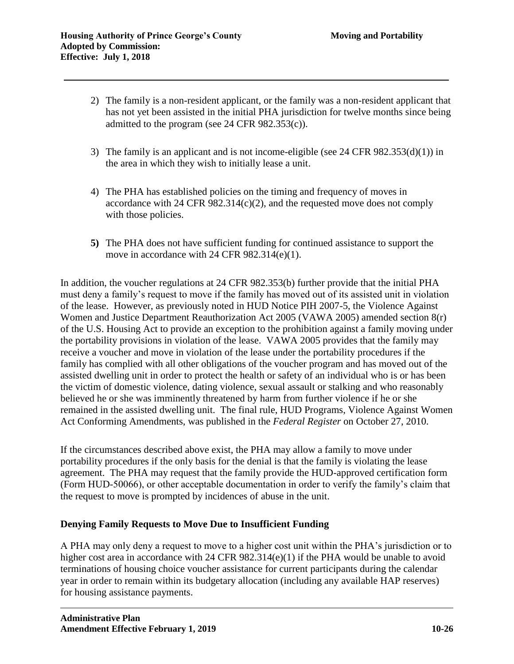- 2) The family is a non-resident applicant, or the family was a non-resident applicant that has not yet been assisted in the initial PHA jurisdiction for twelve months since being admitted to the program (see 24 CFR 982.353(c)).
- 3) The family is an applicant and is not income-eligible (see 24 CFR 982.353(d)(1)) in the area in which they wish to initially lease a unit.
- 4) The PHA has established policies on the timing and frequency of moves in accordance with 24 CFR  $982.314(c)(2)$ , and the requested move does not comply with those policies.
- **5)** The PHA does not have sufficient funding for continued assistance to support the move in accordance with 24 CFR 982.314(e)(1).

In addition, the voucher regulations at 24 CFR 982.353(b) further provide that the initial PHA must deny a family's request to move if the family has moved out of its assisted unit in violation of the lease. However, as previously noted in HUD Notice PIH 2007-5, the Violence Against Women and Justice Department Reauthorization Act 2005 (VAWA 2005) amended section 8(r) of the U.S. Housing Act to provide an exception to the prohibition against a family moving under the portability provisions in violation of the lease. VAWA 2005 provides that the family may receive a voucher and move in violation of the lease under the portability procedures if the family has complied with all other obligations of the voucher program and has moved out of the assisted dwelling unit in order to protect the health or safety of an individual who is or has been the victim of domestic violence, dating violence, sexual assault or stalking and who reasonably believed he or she was imminently threatened by harm from further violence if he or she remained in the assisted dwelling unit. The final rule, HUD Programs, Violence Against Women Act Conforming Amendments, was published in the *Federal Register* on October 27, 2010.

If the circumstances described above exist, the PHA may allow a family to move under portability procedures if the only basis for the denial is that the family is violating the lease agreement. The PHA may request that the family provide the HUD-approved certification form (Form HUD-50066), or other acceptable documentation in order to verify the family's claim that the request to move is prompted by incidences of abuse in the unit.

# **Denying Family Requests to Move Due to Insufficient Funding**

A PHA may only deny a request to move to a higher cost unit within the PHA's jurisdiction or to higher cost area in accordance with 24 CFR 982.314(e)(1) if the PHA would be unable to avoid terminations of housing choice voucher assistance for current participants during the calendar year in order to remain within its budgetary allocation (including any available HAP reserves) for housing assistance payments.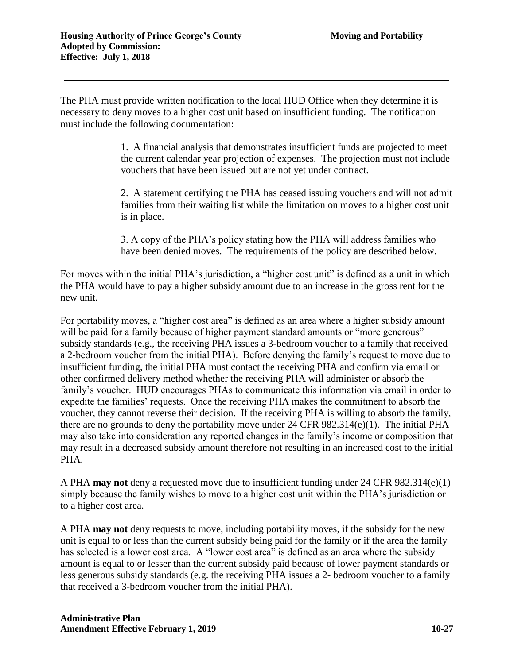The PHA must provide written notification to the local HUD Office when they determine it is necessary to deny moves to a higher cost unit based on insufficient funding. The notification must include the following documentation:

> 1. A financial analysis that demonstrates insufficient funds are projected to meet the current calendar year projection of expenses. The projection must not include vouchers that have been issued but are not yet under contract.

> 2. A statement certifying the PHA has ceased issuing vouchers and will not admit families from their waiting list while the limitation on moves to a higher cost unit is in place.

3. A copy of the PHA's policy stating how the PHA will address families who have been denied moves. The requirements of the policy are described below.

For moves within the initial PHA's jurisdiction, a "higher cost unit" is defined as a unit in which the PHA would have to pay a higher subsidy amount due to an increase in the gross rent for the new unit.

For portability moves, a "higher cost area" is defined as an area where a higher subsidy amount will be paid for a family because of higher payment standard amounts or "more generous" subsidy standards (e.g., the receiving PHA issues a 3-bedroom voucher to a family that received a 2-bedroom voucher from the initial PHA). Before denying the family's request to move due to insufficient funding, the initial PHA must contact the receiving PHA and confirm via email or other confirmed delivery method whether the receiving PHA will administer or absorb the family's voucher. HUD encourages PHAs to communicate this information via email in order to expedite the families' requests. Once the receiving PHA makes the commitment to absorb the voucher, they cannot reverse their decision. If the receiving PHA is willing to absorb the family, there are no grounds to deny the portability move under 24 CFR 982.314(e)(1). The initial PHA may also take into consideration any reported changes in the family's income or composition that may result in a decreased subsidy amount therefore not resulting in an increased cost to the initial PHA.

A PHA **may not** deny a requested move due to insufficient funding under 24 CFR 982.314(e)(1) simply because the family wishes to move to a higher cost unit within the PHA's jurisdiction or to a higher cost area.

A PHA **may not** deny requests to move, including portability moves, if the subsidy for the new unit is equal to or less than the current subsidy being paid for the family or if the area the family has selected is a lower cost area. A "lower cost area" is defined as an area where the subsidy amount is equal to or lesser than the current subsidy paid because of lower payment standards or less generous subsidy standards (e.g. the receiving PHA issues a 2- bedroom voucher to a family that received a 3-bedroom voucher from the initial PHA).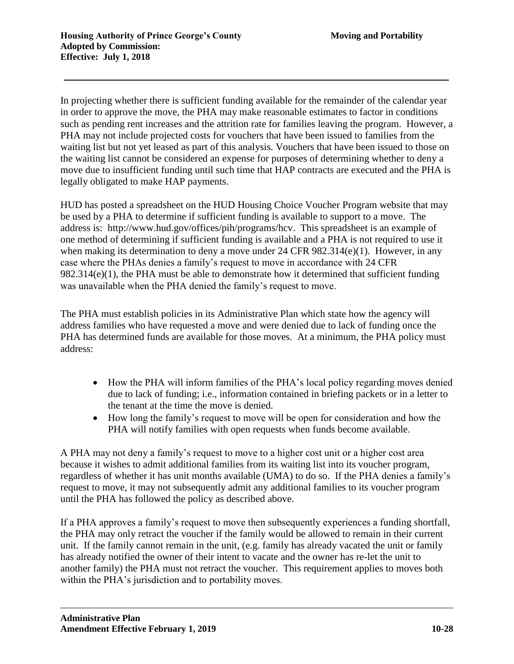In projecting whether there is sufficient funding available for the remainder of the calendar year in order to approve the move, the PHA may make reasonable estimates to factor in conditions such as pending rent increases and the attrition rate for families leaving the program. However, a PHA may not include projected costs for vouchers that have been issued to families from the waiting list but not yet leased as part of this analysis. Vouchers that have been issued to those on the waiting list cannot be considered an expense for purposes of determining whether to deny a move due to insufficient funding until such time that HAP contracts are executed and the PHA is legally obligated to make HAP payments.

HUD has posted a spreadsheet on the HUD Housing Choice Voucher Program website that may be used by a PHA to determine if sufficient funding is available to support to a move. The address is: [http://www.hud.gov/offices/pih/programs/hcv.](http://www.hud.gov/offices/pih/programs/hcv) This spreadsheet is an example of one method of determining if sufficient funding is available and a PHA is not required to use it when making its determination to deny a move under 24 CFR 982.314(e)(1). However, in any case where the PHAs denies a family's request to move in accordance with 24 CFR 982.314(e)(1), the PHA must be able to demonstrate how it determined that sufficient funding was unavailable when the PHA denied the family's request to move.

The PHA must establish policies in its Administrative Plan which state how the agency will address families who have requested a move and were denied due to lack of funding once the PHA has determined funds are available for those moves. At a minimum, the PHA policy must address:

- How the PHA will inform families of the PHA's local policy regarding moves denied due to lack of funding; i.e., information contained in briefing packets or in a letter to the tenant at the time the move is denied.
- How long the family's request to move will be open for consideration and how the PHA will notify families with open requests when funds become available.

A PHA may not deny a family's request to move to a higher cost unit or a higher cost area because it wishes to admit additional families from its waiting list into its voucher program, regardless of whether it has unit months available (UMA) to do so. If the PHA denies a family's request to move, it may not subsequently admit any additional families to its voucher program until the PHA has followed the policy as described above.

If a PHA approves a family's request to move then subsequently experiences a funding shortfall, the PHA may only retract the voucher if the family would be allowed to remain in their current unit. If the family cannot remain in the unit, (e.g. family has already vacated the unit or family has already notified the owner of their intent to vacate and the owner has re-let the unit to another family) the PHA must not retract the voucher. This requirement applies to moves both within the PHA's jurisdiction and to portability moves.